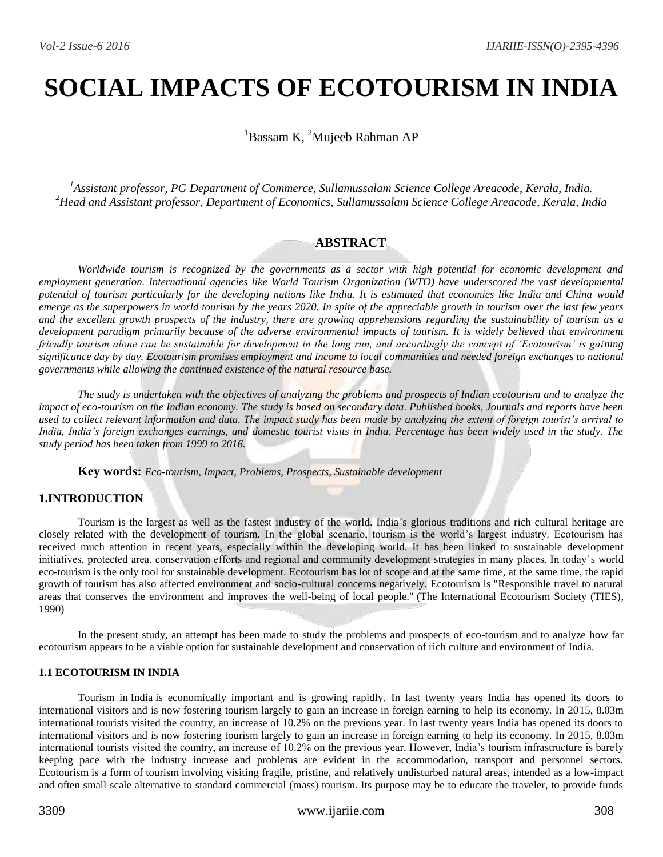# **SOCIAL IMPACTS OF ECOTOURISM IN INDIA**

 ${}^{1}$ Bassam K, <sup>2</sup>Mujeeb Rahman AP

*<sup>1</sup>Assistant professor, PG Department of Commerce, Sullamussalam Science College Areacode, Kerala, India. <sup>2</sup>Head and Assistant professor, Department of Economics, Sullamussalam Science College Areacode, Kerala, India*

# **ABSTRACT**

*Worldwide tourism is recognized by the governments as a sector with high potential for economic development and employment generation. International agencies like World Tourism Organization (WTO) have underscored the vast developmental potential of tourism particularly for the developing nations like India. It is estimated that economies like India and China would emerge as the superpowers in world tourism by the years 2020. In spite of the appreciable growth in tourism over the last few years and the excellent growth prospects of the industry, there are growing apprehensions regarding the sustainability of tourism as a*  development paradigm primarily because of the adverse environmental impacts of tourism. It is widely believed that environment *friendly tourism alone can be sustainable for development in the long run, and accordingly the concept of 'Ecotourism' is gaining significance day by day. Ecotourism promises employment and income to local communities and needed foreign exchanges to national governments while allowing the continued existence of the natural resource base.* 

*The study is undertaken with the objectives of analyzing the problems and prospects of Indian ecotourism and to analyze the impact of eco-tourism on the Indian economy. The study is based on secondary data. Published books, Journals and reports have been used to collect relevant information and data. The impact study has been made by analyzing the extent of foreign tourist's arrival to India, India's foreign exchanges earnings, and domestic tourist visits in India. Percentage has been widely used in the study. The study period has been taken from 1999 to 2016.*

**Key words:** *Eco-tourism, Impact, Problems, Prospects, Sustainable development*

# **1.INTRODUCTION**

Tourism is the largest as well as the fastest industry of the world. India's glorious traditions and rich cultural heritage are closely related with the development of tourism. In the global scenario, tourism is the world's largest industry. Ecotourism has received much attention in recent years, especially within the developing world. It has been linked to sustainable development initiatives, protected area, conservation efforts and regional and community development strategies in many places. In today's world eco-tourism is the only tool for sustainable development. Ecotourism has lot of scope and at the same time, at the same time, the rapid growth of tourism has also affected environment and socio-cultural concerns negatively. Ecotourism is "Responsible travel to natural areas that conserves the environment and improves the well-being of local people." (The International Ecotourism Society (TIES), 1990)

In the present study, an attempt has been made to study the problems and prospects of eco-tourism and to analyze how far ecotourism appears to be a viable option for sustainable development and conservation of rich culture and environment of India.

#### **1.1 ECOTOURISM IN INDIA**

Tourism in [India](https://en.wikipedia.org/wiki/India) is economically important and is growing rapidly. In last twenty years India has opened its doors to international visitors and is now fostering tourism largely to gain an increase in foreign earning to help its economy. In 2015, 8.03m international tourists visited the country, an increase of 10.2% on the previous year. In last twenty years India has opened its doors to international visitors and is now fostering tourism largely to gain an increase in foreign earning to help its economy. In 2015, 8.03m international tourists visited the country, an increase of 10.2% on the previous year. However, India's tourism infrastructure is barely keeping pace with the industry increase and problems are evident in the accommodation, transport and personnel sectors. Ecotourism is a form of [tourism](https://en.wikipedia.org/wiki/Tourism) involving visiting fragile, pristine, and relatively undisturbed natural areas, intended as a low-impact and often small scale alternative to standard commercial (mass) tourism. Its purpose may be to educate the traveler, to provide funds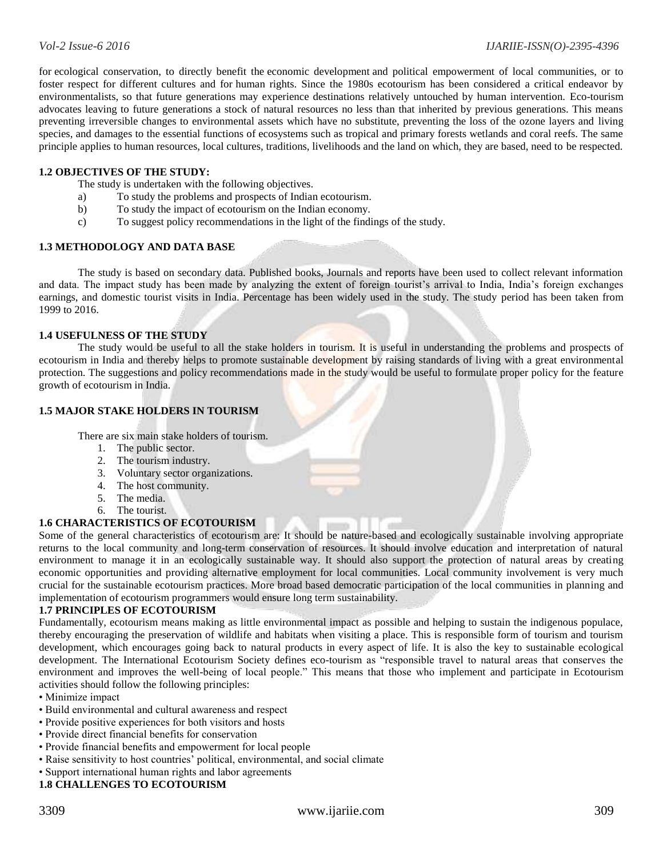for [ecological conservation,](https://en.wikipedia.org/wiki/Ecological_conservation) to directly benefit the [economic development](https://en.wikipedia.org/wiki/Economic_development) and political empowerment of local communities, or to foster respect for different cultures and for [human rights.](https://en.wikipedia.org/wiki/Human_rights) Since the 1980s ecotourism has been considered a critical endeavor by environmentalists, so that future generations may experience destinations relatively untouched by human intervention. Eco-tourism advocates leaving to future generations a stock of natural resources no less than that inherited by previous generations. This means preventing irreversible changes to environmental assets which have no substitute, preventing the loss of the ozone layers and living species, and damages to the essential functions of ecosystems such as tropical and primary forests wetlands and coral reefs. The same principle applies to human resources, local cultures, traditions, livelihoods and the land on which, they are based, need to be respected.

# **1.2 OBJECTIVES OF THE STUDY:**

The study is undertaken with the following objectives.

- a) To study the problems and prospects of Indian ecotourism.
- b) To study the impact of ecotourism on the Indian economy.
- c) To suggest policy recommendations in the light of the findings of the study.

# **1.3 METHODOLOGY AND DATA BASE**

The study is based on secondary data. Published books, Journals and reports have been used to collect relevant information and data. The impact study has been made by analyzing the extent of foreign tourist's arrival to India, India's foreign exchanges earnings, and domestic tourist visits in India. Percentage has been widely used in the study. The study period has been taken from 1999 to 2016.

#### **1.4 USEFULNESS OF THE STUDY**

The study would be useful to all the stake holders in tourism. It is useful in understanding the problems and prospects of ecotourism in India and thereby helps to promote sustainable development by raising standards of living with a great environmental protection. The suggestions and policy recommendations made in the study would be useful to formulate proper policy for the feature growth of ecotourism in India.

# **1.5 MAJOR STAKE HOLDERS IN TOURISM**

There are six main stake holders of tourism.

- 1. The public sector.
- 2. The tourism industry.
- 3. Voluntary sector organizations.
- 4. The host community.
- 5. The media.
- 6. The tourist.

# **1.6 CHARACTERISTICS OF ECOTOURISM**

Some of the general characteristics of ecotourism are: It should be nature-based and ecologically sustainable involving appropriate returns to the local community and long-term conservation of resources. It should involve education and interpretation of natural environment to manage it in an ecologically sustainable way. It should also support the protection of natural areas by creating economic opportunities and providing alternative employment for local communities. Local community involvement is very much crucial for the sustainable ecotourism practices. More broad based democratic participation of the local communities in planning and implementation of ecotourism programmers would ensure long term sustainability.

#### **1.7 PRINCIPLES OF ECOTOURISM**

Fundamentally, ecotourism means making as little environmental impact as possible and helping to sustain the indigenous populace, thereby encouraging the preservation of wildlife and habitats when visiting a place. This is responsible form of tourism and tourism development, which encourages going back to natural products in every aspect of life. It is also the key to sustainable ecological development. The International Ecotourism Society defines eco-tourism as "responsible travel to natural areas that conserves the environment and improves the well-being of local people." This means that those who implement and participate in Ecotourism activities should follow the following principles:

- Minimize impact
- Build environmental and cultural awareness and respect
- Provide positive experiences for both visitors and hosts
- Provide direct financial benefits for conservation
- Provide financial benefits and empowerment for local people
- Raise sensitivity to host countries' political, environmental, and social climate
- Support international human rights and labor agreements

# **1.8 CHALLENGES TO ECOTOURISM**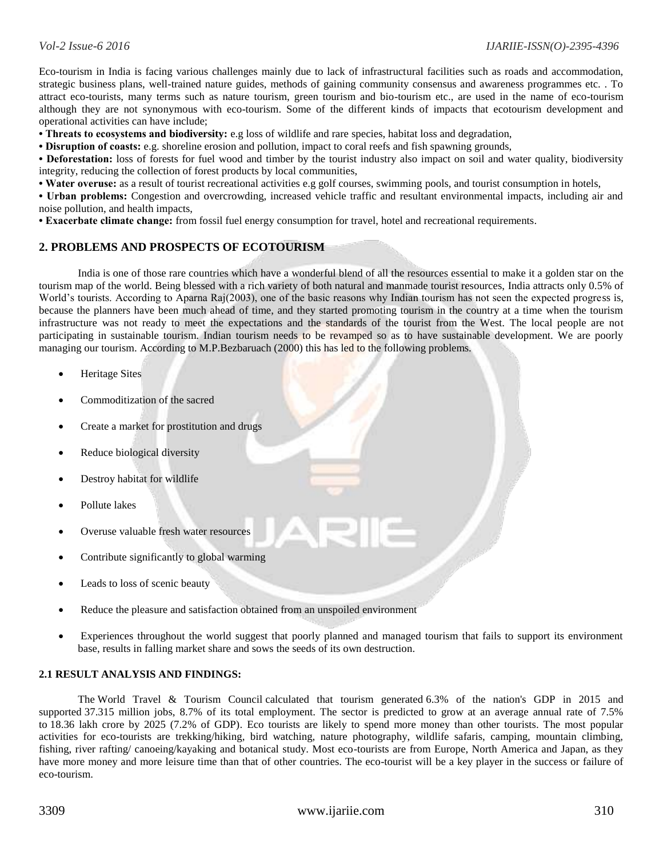Eco-tourism in India is facing various challenges mainly due to lack of infrastructural facilities such as roads and accommodation, strategic business plans, well-trained nature guides, methods of gaining community consensus and awareness programmes etc. . To attract eco-tourists, many terms such as nature tourism, green tourism and bio-tourism etc., are used in the name of eco-tourism although they are not synonymous with eco-tourism. Some of the different kinds of impacts that ecotourism development and operational activities can have include;

**• Threats to ecosystems and biodiversity:** e.g loss of wildlife and rare species, habitat loss and degradation,

**• Disruption of coasts:** e.g. shoreline erosion and pollution, impact to coral reefs and fish spawning grounds,

**• Deforestation:** loss of forests for fuel wood and timber by the tourist industry also impact on soil and water quality, biodiversity integrity, reducing the collection of forest products by local communities,

**• Water overuse:** as a result of tourist recreational activities e.g golf courses, swimming pools, and tourist consumption in hotels,

**• Urban problems:** Congestion and overcrowding, increased vehicle traffic and resultant environmental impacts, including air and noise pollution, and health impacts,

**• Exacerbate climate change:** from fossil fuel energy consumption for travel, hotel and recreational requirements.

# **2. PROBLEMS AND PROSPECTS OF ECOTOURISM**

India is one of those rare countries which have a wonderful blend of all the resources essential to make it a golden star on the tourism map of the world. Being blessed with a rich variety of both natural and manmade tourist resources, India attracts only 0.5% of World's tourists. According to Aparna Raj(2003), one of the basic reasons why Indian tourism has not seen the expected progress is, because the planners have been much ahead of time, and they started promoting tourism in the country at a time when the tourism infrastructure was not ready to meet the expectations and the standards of the tourist from the West. The local people are not participating in sustainable tourism. Indian tourism needs to be revamped so as to have sustainable development. We are poorly managing our tourism. According to M.P.Bezbaruach (2000) this has led to the following problems.

- Heritage Sites
- Commoditization of the sacred
- Create a market for prostitution and drugs
- Reduce biological diversity
- Destroy habitat for wildlife
- Pollute lakes
- Overuse valuable fresh water resources
- Contribute significantly to global warming
- Leads to loss of scenic beauty
- Reduce the pleasure and satisfaction obtained from an unspoiled environment
- Experiences throughout the world suggest that poorly planned and managed tourism that fails to support its environment base, results in falling market share and sows the seeds of its own destruction.

#### **2.1 RESULT ANALYSIS AND FINDINGS:**

The [World Travel & Tourism Council](https://en.wikipedia.org/wiki/World_Travel_and_Tourism_Council) calculated that tourism generated 6.3% of the nation's GDP in 2015 and supported 37.315 million jobs, 8.7% of its total employment. The sector is predicted to grow at an average annual rate of 7.5% to 18.36 lakh crore by 2025 (7.2% of GDP). Eco tourists are likely to spend more money than other tourists. The most popular activities for eco-tourists are trekking/hiking, bird watching, nature photography, wildlife safaris, camping, mountain climbing, fishing, river rafting/ canoeing/kayaking and botanical study. Most eco-tourists are from Europe, North America and Japan, as they have more money and more leisure time than that of other countries. The eco-tourist will be a key player in the success or failure of eco-tourism.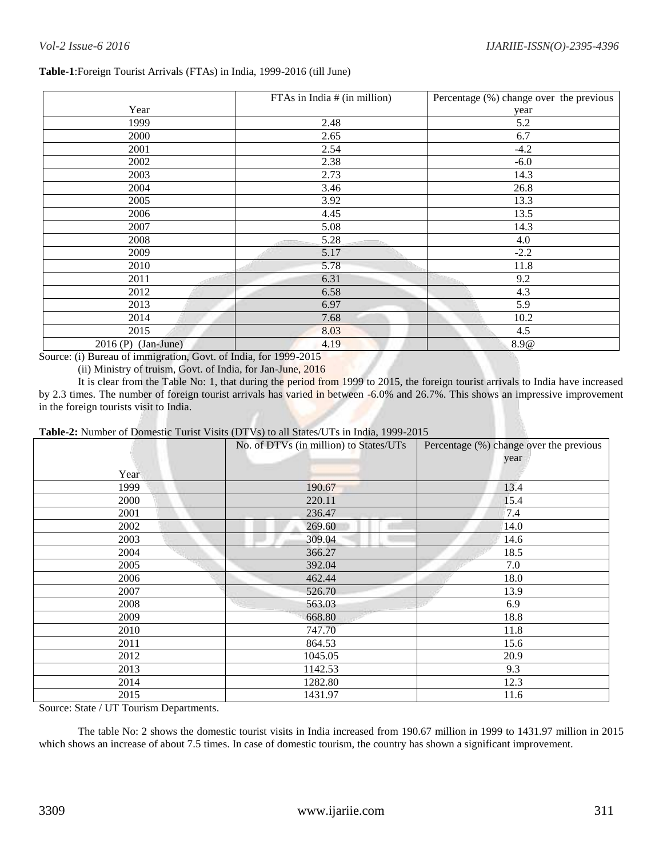# **Table-1**:Foreign Tourist Arrivals (FTAs) in India, 1999-2016 (till June)

|                       | FTAs in India $#$ (in million) | Percentage (%) change over the previous |
|-----------------------|--------------------------------|-----------------------------------------|
| Year                  |                                | year                                    |
| 1999                  | 2.48                           | 5.2                                     |
| 2000                  | 2.65                           | 6.7                                     |
| 2001                  | 2.54                           | $-4.2$                                  |
| 2002                  | 2.38                           | $-6.0$                                  |
| 2003                  | 2.73                           | 14.3                                    |
| 2004                  | 3.46                           | 26.8                                    |
| 2005                  | 3.92                           | 13.3                                    |
| 2006                  | 4.45                           | 13.5                                    |
| 2007                  | 5.08                           | 14.3                                    |
| 2008                  | 5.28<br>Addition.              | 4.0                                     |
| 2009                  | 5.17                           | $-2.2$                                  |
| 2010                  | 5.78                           | 11.8                                    |
| 2011                  | 6.31                           | 9.2                                     |
| 2012                  | 6.58                           | 4.3                                     |
| 2013                  | 6.97                           | 5.9                                     |
| 2014                  | 7.68                           | 10.2                                    |
| 2015                  | 8.03                           | 4.5                                     |
| $2016$ (P) (Jan-June) | 4.19                           | 8.9@                                    |

Source: (i) Bureau of immigration, Govt. of India, for 1999-2015

(ii) Ministry of truism, Govt. of India, for Jan-June, 2016

It is clear from the Table No: 1, that during the period from 1999 to 2015, the foreign tourist arrivals to India have increased by 2.3 times. The number of foreign tourist arrivals has varied in between -6.0% and 26.7%. This shows an impressive improvement in the foreign tourists visit to India.

# **Table-2:** Number of Domestic Turist Visits (DTVs) to all States/UTs in India, 1999-2015

|      | No. of DTVs (in million) to States/UTs | Percentage (%) change over the previous<br>year |
|------|----------------------------------------|-------------------------------------------------|
| Year |                                        |                                                 |
| 1999 | 190.67                                 | 13.4                                            |
| 2000 | 220.11                                 | 15.4                                            |
| 2001 | 236.47                                 | 7.4                                             |
| 2002 | 269.60                                 | 14.0                                            |
| 2003 | 309.04                                 | 14.6                                            |
| 2004 | 366.27                                 | 18.5                                            |
| 2005 | 392.04                                 | 7.0                                             |
| 2006 | 462.44                                 | 18.0                                            |
| 2007 | 526.70                                 | 13.9                                            |
| 2008 | 563.03                                 | 6.9                                             |
| 2009 | 668.80                                 | 18.8                                            |
| 2010 | 747.70                                 | 11.8                                            |
| 2011 | 864.53                                 | 15.6                                            |
| 2012 | 1045.05                                | 20.9                                            |
| 2013 | 1142.53                                | 9.3                                             |
| 2014 | 1282.80                                | 12.3                                            |
| 2015 | 1431.97                                | 11.6                                            |

Source: State / UT Tourism Departments.

The table No: 2 shows the domestic tourist visits in India increased from 190.67 million in 1999 to 1431.97 million in 2015 which shows an increase of about 7.5 times. In case of domestic tourism, the country has shown a significant improvement.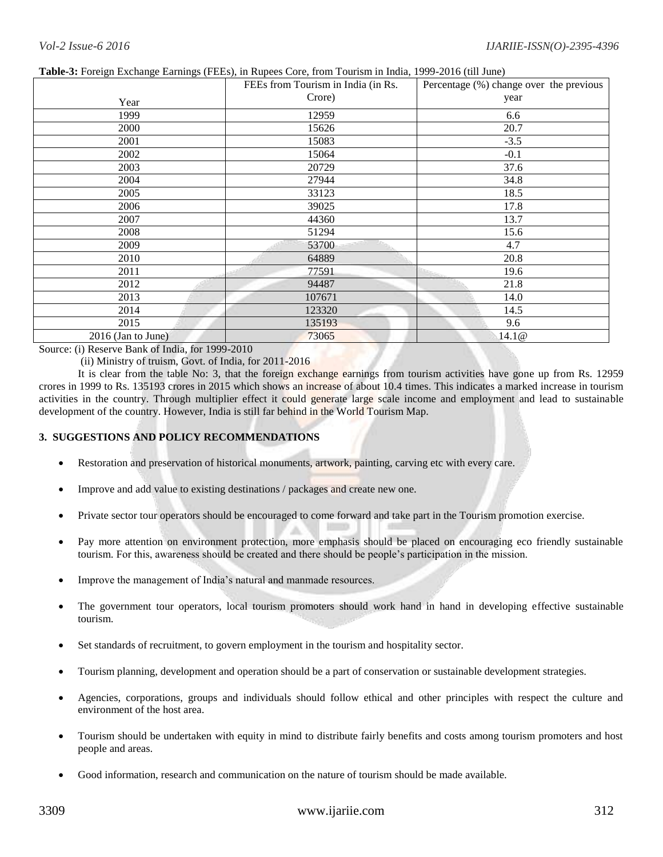|                      | Tubic of Foreign Exemings Eurinings (FEEs), in Rupees Core, from Fourism in mone, 1999 2010 (un sunc)<br>FEEs from Tourism in India (in Rs. | Percentage (%) change over the previous |
|----------------------|---------------------------------------------------------------------------------------------------------------------------------------------|-----------------------------------------|
|                      | Crore)                                                                                                                                      |                                         |
| Year                 |                                                                                                                                             | year                                    |
| 1999                 | 12959                                                                                                                                       | 6.6                                     |
| 2000                 | 15626                                                                                                                                       | 20.7                                    |
| 2001                 | 15083                                                                                                                                       | $-3.5$                                  |
| 2002                 | 15064                                                                                                                                       | $-0.1$                                  |
| 2003                 | 20729                                                                                                                                       | 37.6                                    |
| 2004                 | 27944                                                                                                                                       | 34.8                                    |
| 2005                 | 33123                                                                                                                                       | 18.5                                    |
| 2006                 | 39025                                                                                                                                       | 17.8                                    |
| 2007                 | 44360                                                                                                                                       | 13.7                                    |
| 2008                 | 51294                                                                                                                                       | 15.6                                    |
| 2009                 | 53700                                                                                                                                       | 4.7                                     |
| 2010                 | 64889                                                                                                                                       | 20.8                                    |
| 2011                 | 77591                                                                                                                                       | 19.6                                    |
| 2012                 | 94487                                                                                                                                       | 21.8                                    |
| 2013                 | 107671                                                                                                                                      | 14.0                                    |
| 2014                 | 123320                                                                                                                                      | 14.5                                    |
| 2015                 | 135193                                                                                                                                      | 9.6                                     |
| $2016$ (Jan to June) | 73065                                                                                                                                       | 14.1@                                   |

#### **Table-3:** Foreign Exchange Earnings (FEEs), in Rupees Core, from Tourism in India, 1999-2016 (till June)

Source: (i) Reserve Bank of India, for 1999-2010

(ii) Ministry of truism, Govt. of India, for 2011-2016

It is clear from the table No: 3, that the foreign exchange earnings from tourism activities have gone up from Rs. 12959 crores in 1999 to Rs. 135193 crores in 2015 which shows an increase of about 10.4 times. This indicates a marked increase in tourism activities in the country. Through multiplier effect it could generate large scale income and employment and lead to sustainable development of the country. However, India is still far behind in the World Tourism Map.

# **3. SUGGESTIONS AND POLICY RECOMMENDATIONS**

- Restoration and preservation of historical monuments, artwork, painting, carving etc with every care.
- Improve and add value to existing destinations / packages and create new one.
- Private sector tour operators should be encouraged to come forward and take part in the Tourism promotion exercise.
- Pay more attention on environment protection, more emphasis should be placed on encouraging eco friendly sustainable tourism. For this, awareness should be created and there should be people's participation in the mission.
- Improve the management of India's natural and manmade resources.
- The government tour operators, local tourism promoters should work hand in hand in developing effective sustainable tourism.
- Set standards of recruitment, to govern employment in the tourism and hospitality sector.
- Tourism planning, development and operation should be a part of conservation or sustainable development strategies.
- Agencies, corporations, groups and individuals should follow ethical and other principles with respect the culture and environment of the host area.
- Tourism should be undertaken with equity in mind to distribute fairly benefits and costs among tourism promoters and host people and areas.
- Good information, research and communication on the nature of tourism should be made available.